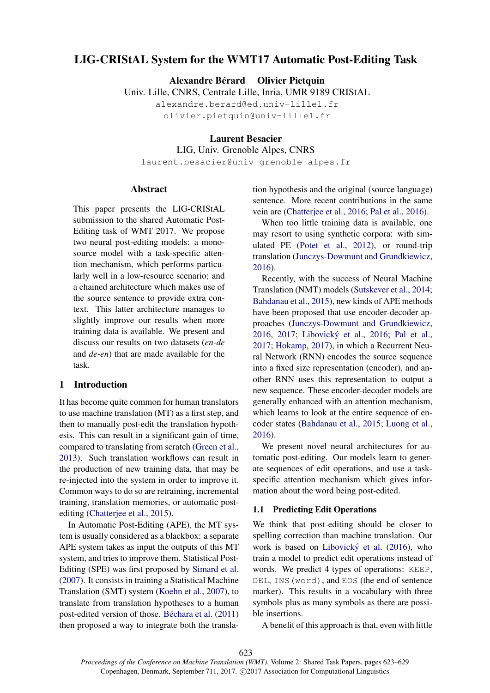# LIG-CRIStAL System for the WMT17 Automatic Post-Editing Task

Alexandre Bérard Olivier Pietquin

Univ. Lille, CNRS, Centrale Lille, Inria, UMR 9189 CRIStAL

alexandre.berard@ed.univ-lille1.fr olivier.pietquin@univ-lille1.fr

Laurent Besacier

LIG, Univ. Grenoble Alpes, CNRS

laurent.besacier@univ-grenoble-alpes.fr

## Abstract

This paper presents the LIG-CRIStAL submission to the shared Automatic Post-Editing task of WMT 2017. We propose two neural post-editing models: a monosource model with a task-specific attention mechanism, which performs particularly well in a low-resource scenario; and a chained architecture which makes use of the source sentence to provide extra context. This latter architecture manages to slightly improve our results when more training data is available. We present and discuss our results on two datasets (*en-de* and *de-en*) that are made available for the task.

## 1 Introduction

It has become quite common for human translators to use machine translation (MT) as a first step, and then to manually post-edit the translation hypothesis. This can result in a significant gain of time, compared to translating from scratch (Green et al., 2013). Such translation workflows can result in the production of new training data, that may be re-injected into the system in order to improve it. Common ways to do so are retraining, incremental training, translation memories, or automatic postediting (Chatterjee et al., 2015).

In Automatic Post-Editing (APE), the MT system is usually considered as a blackbox: a separate APE system takes as input the outputs of this MT system, and tries to improve them. Statistical Post-Editing (SPE) was first proposed by Simard et al. (2007). It consists in training a Statistical Machine Translation (SMT) system (Koehn et al., 2007), to translate from translation hypotheses to a human post-edited version of those. Béchara et al.  $(2011)$ then proposed a way to integrate both the translation hypothesis and the original (source language) sentence. More recent contributions in the same vein are (Chatterjee et al., 2016; Pal et al., 2016).

When too little training data is available, one may resort to using synthetic corpora: with simulated PE (Potet et al., 2012), or round-trip translation (Junczys-Dowmunt and Grundkiewicz, 2016).

Recently, with the success of Neural Machine Translation (NMT) models (Sutskever et al., 2014; Bahdanau et al., 2015), new kinds of APE methods have been proposed that use encoder-decoder approaches (Junczys-Dowmunt and Grundkiewicz, 2016, 2017; Libovický et al., 2016; Pal et al., 2017; Hokamp, 2017), in which a Recurrent Neural Network (RNN) encodes the source sequence into a fixed size representation (encoder), and another RNN uses this representation to output a new sequence. These encoder-decoder models are generally enhanced with an attention mechanism, which learns to look at the entire sequence of encoder states (Bahdanau et al., 2015; Luong et al., 2016).

We present novel neural architectures for automatic post-editing. Our models learn to generate sequences of edit operations, and use a taskspecific attention mechanism which gives information about the word being post-edited.

#### 1.1 Predicting Edit Operations

We think that post-editing should be closer to spelling correction than machine translation. Our work is based on Libovický et al.  $(2016)$ , who train a model to predict edit operations instead of words. We predict 4 types of operations: KEEP, DEL, INS(word), and EOS (the end of sentence marker). This results in a vocabulary with three symbols plus as many symbols as there are possible insertions.

A benefit of this approach is that, even with little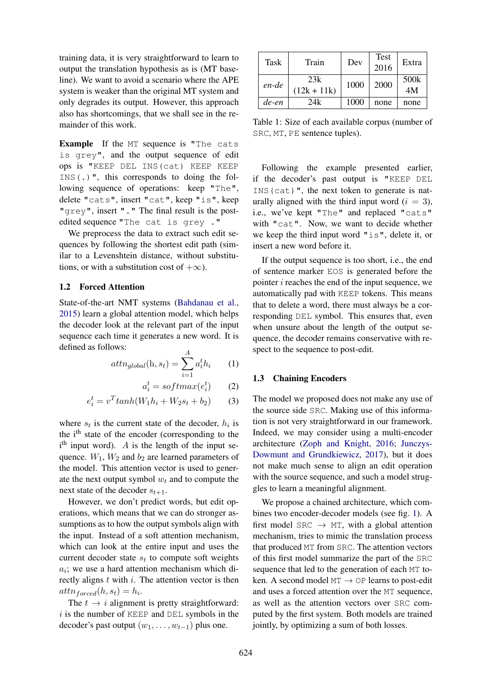training data, it is very straightforward to learn to output the translation hypothesis as is (MT baseline). We want to avoid a scenario where the APE system is weaker than the original MT system and only degrades its output. However, this approach also has shortcomings, that we shall see in the remainder of this work.

Example If the MT sequence is "The cats is grey", and the output sequence of edit ops is "KEEP DEL INS(cat) KEEP KEEP INS(.)", this corresponds to doing the following sequence of operations: keep "The", delete "cats", insert "cat", keep "is", keep "grey", insert "." The final result is the postedited sequence "The cat is grey ."

We preprocess the data to extract such edit sequences by following the shortest edit path (similar to a Levenshtein distance, without substitutions, or with a substitution cost of  $+\infty$ ).

## 1.2 Forced Attention

State-of-the-art NMT systems (Bahdanau et al., 2015) learn a global attention model, which helps the decoder look at the relevant part of the input sequence each time it generates a new word. It is defined as follows:

$$
attn_{global}(\mathbf{h}, s_t) = \sum_{i=1}^{A} a_i^t h_i \qquad (1)
$$

$$
a_i^t = softmax(e_i^t) \qquad (2)
$$

$$
e_i^t = v^T \tanh(W_1 h_i + W_2 s_t + b_2) \tag{3}
$$

where  $s_t$  is the current state of the decoder,  $h_i$  is the i<sup>th</sup> state of the encoder (corresponding to the  $i<sup>th</sup>$  input word). A is the length of the input sequence.  $W_1$ ,  $W_2$  and  $b_2$  are learned parameters of the model. This attention vector is used to generate the next output symbol  $w_t$  and to compute the next state of the decoder  $s_{t+1}$ .

However, we don't predict words, but edit operations, which means that we can do stronger assumptions as to how the output symbols align with the input. Instead of a soft attention mechanism, which can look at the entire input and uses the current decoder state  $s_t$  to compute soft weights  $a_i$ ; we use a hard attention mechanism which directly aligns  $t$  with  $i$ . The attention vector is then  $attn_{forced}(h, s_t) = h_i.$ 

The  $t \rightarrow i$  alignment is pretty straightforward:  $i$  is the number of KEEP and DEL symbols in the decoder's past output  $(w_1, \ldots, w_{t-1})$  plus one.

| Task  | Train                | Dev  | Test<br>2016 | Extra      |
|-------|----------------------|------|--------------|------------|
| en-de | 23k<br>$(12k + 11k)$ | 1000 | 2000         | 500k<br>4M |
| de-en | 24k                  | 1000 | none         | none       |

Table 1: Size of each available corpus (number of SRC, MT, PE sentence tuples).

Following the example presented earlier, if the decoder's past output is "KEEP DEL INS(cat)", the next token to generate is naturally aligned with the third input word  $(i = 3)$ , i.e., we've kept "The" and replaced "cats" with "cat". Now, we want to decide whether we keep the third input word "is", delete it, or insert a new word before it.

If the output sequence is too short, i.e., the end of sentence marker EOS is generated before the pointer  $i$  reaches the end of the input sequence, we automatically pad with KEEP tokens. This means that to delete a word, there must always be a corresponding DEL symbol. This ensures that, even when unsure about the length of the output sequence, the decoder remains conservative with respect to the sequence to post-edit.

#### 1.3 Chaining Encoders

The model we proposed does not make any use of the source side SRC. Making use of this information is not very straightforward in our framework. Indeed, we may consider using a multi-encoder architecture (Zoph and Knight, 2016; Junczys-Dowmunt and Grundkiewicz, 2017), but it does not make much sense to align an edit operation with the source sequence, and such a model struggles to learn a meaningful alignment.

We propose a chained architecture, which combines two encoder-decoder models (see fig. 1). A first model SRC  $\rightarrow$  MT, with a global attention mechanism, tries to mimic the translation process that produced MT from SRC. The attention vectors of this first model summarize the part of the SRC sequence that led to the generation of each MT token. A second model  $MT \rightarrow OP$  learns to post-edit and uses a forced attention over the MT sequence, as well as the attention vectors over SRC computed by the first system. Both models are trained jointly, by optimizing a sum of both losses.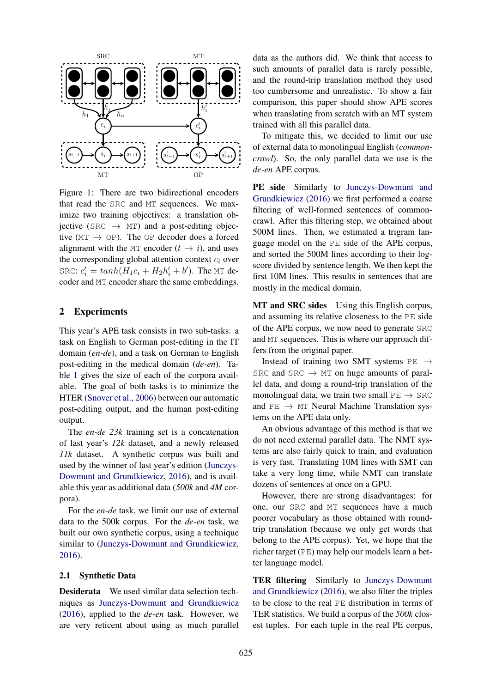

Figure 1: There are two bidirectional encoders that read the SRC and MT sequences. We maximize two training objectives: a translation objective (SRC  $\rightarrow$  MT) and a post-editing objective ( $MT \rightarrow OP$ ). The OP decoder does a forced alignment with the MT encoder  $(t \rightarrow i)$ , and uses the corresponding global attention context  $c_i$  over SRC:  $c_i' = tanh(H_1c_i + H_2h_i' + b')$ . The MT decoder and MT encoder share the same embeddings.

#### 2 Experiments

This year's APE task consists in two sub-tasks: a task on English to German post-editing in the IT domain (*en-de*), and a task on German to English post-editing in the medical domain (*de-en*). Table 1 gives the size of each of the corpora available. The goal of both tasks is to minimize the HTER (Snover et al., 2006) between our automatic post-editing output, and the human post-editing output.

The *en-de 23k* training set is a concatenation of last year's *12k* dataset, and a newly released *11k* dataset. A synthetic corpus was built and used by the winner of last year's edition (Junczys-Dowmunt and Grundkiewicz, 2016), and is available this year as additional data (*500k* and *4M* corpora).

For the *en-de* task, we limit our use of external data to the 500k corpus. For the *de-en* task, we built our own synthetic corpus, using a technique similar to (Junczys-Dowmunt and Grundkiewicz, 2016).

#### 2.1 Synthetic Data

Desiderata We used similar data selection techniques as Junczys-Dowmunt and Grundkiewicz (2016), applied to the *de-en* task. However, we are very reticent about using as much parallel

data as the authors did. We think that access to such amounts of parallel data is rarely possible, and the round-trip translation method they used too cumbersome and unrealistic. To show a fair comparison, this paper should show APE scores when translating from scratch with an MT system trained with all this parallel data.

To mitigate this, we decided to limit our use of external data to monolingual English (*commoncrawl*). So, the only parallel data we use is the *de-en* APE corpus.

PE side Similarly to Junczys-Dowmunt and Grundkiewicz (2016) we first performed a coarse filtering of well-formed sentences of commoncrawl. After this filtering step, we obtained about 500M lines. Then, we estimated a trigram language model on the PE side of the APE corpus, and sorted the 500M lines according to their logscore divided by sentence length. We then kept the first 10M lines. This results in sentences that are mostly in the medical domain.

MT and SRC sides Using this English corpus, and assuming its relative closeness to the PE side of the APE corpus, we now need to generate SRC and MT sequences. This is where our approach differs from the original paper.

Instead of training two SMT systems  $PE \rightarrow$ SRC and SRC  $\rightarrow$  MT on huge amounts of parallel data, and doing a round-trip translation of the monolingual data, we train two small  $PE \rightarrow$  SRC and  $PE \rightarrow MT$  Neural Machine Translation systems on the APE data only.

An obvious advantage of this method is that we do not need external parallel data. The NMT systems are also fairly quick to train, and evaluation is very fast. Translating 10M lines with SMT can take a very long time, while NMT can translate dozens of sentences at once on a GPU.

However, there are strong disadvantages: for one, our SRC and MT sequences have a much poorer vocabulary as those obtained with roundtrip translation (because we only get words that belong to the APE corpus). Yet, we hope that the richer target (PE) may help our models learn a better language model.

TER filtering Similarly to Junczys-Dowmunt and Grundkiewicz (2016), we also filter the triples to be close to the real PE distribution in terms of TER statistics. We build a corpus of the *500k* closest tuples. For each tuple in the real PE corpus,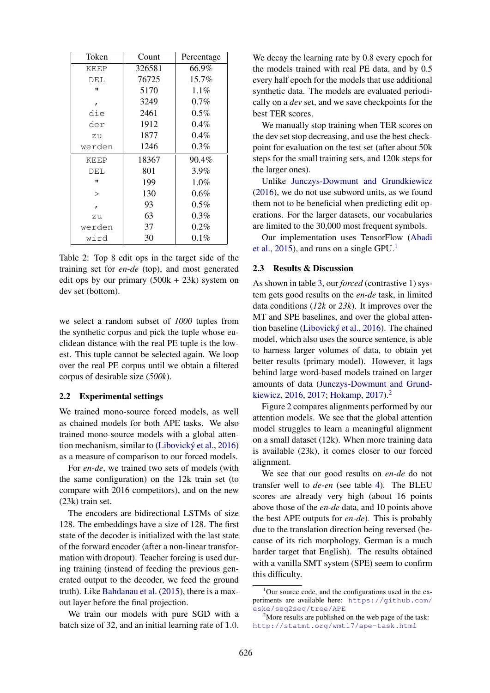| Token        | Count  | Percentage |  |  |
|--------------|--------|------------|--|--|
| KEEP         | 326581 | 66.9%      |  |  |
| DEL          | 76725  | $15.7\%$   |  |  |
| $\mathbf{u}$ | 5170   | $1.1\%$    |  |  |
| $\mathbf{r}$ | 3249   | 0.7%       |  |  |
| die          | 2461   | $0.5\%$    |  |  |
| der          | 1912   | $0.4\%$    |  |  |
| zu           | 1877   | $0.4\%$    |  |  |
| werden       | 1246   | $0.3\%$    |  |  |
| <b>KEEP</b>  | 18367  | 90.4%      |  |  |
| DEL          | 801    | $3.9\%$    |  |  |
| $\mathbf{u}$ | 199    | $1.0\%$    |  |  |
| $\mathbf{I}$ | 130    | $0.6\%$    |  |  |
| $\mathbf{r}$ | 93     | $0.5\%$    |  |  |
| zu           | 63     | $0.3\%$    |  |  |
| werden       | 37     | $0.2\%$    |  |  |
| wird         | 30     | $0.1\%$    |  |  |

Table 2: Top 8 edit ops in the target side of the training set for *en-de* (top), and most generated edit ops by our primary  $(500k + 23k)$  system on dev set (bottom).

we select a random subset of *1000* tuples from the synthetic corpus and pick the tuple whose euclidean distance with the real PE tuple is the lowest. This tuple cannot be selected again. We loop over the real PE corpus until we obtain a filtered corpus of desirable size (*500k*).

#### 2.2 Experimental settings

We trained mono-source forced models, as well as chained models for both APE tasks. We also trained mono-source models with a global attention mechanism, similar to (Libovický et al., 2016) as a measure of comparison to our forced models.

For *en-de*, we trained two sets of models (with the same configuration) on the 12k train set (to compare with 2016 competitors), and on the new (23k) train set.

The encoders are bidirectional LSTMs of size 128. The embeddings have a size of 128. The first state of the decoder is initialized with the last state of the forward encoder (after a non-linear transformation with dropout). Teacher forcing is used during training (instead of feeding the previous generated output to the decoder, we feed the ground truth). Like Bahdanau et al. (2015), there is a maxout layer before the final projection.

We train our models with pure SGD with a batch size of 32, and an initial learning rate of 1.0.

We decay the learning rate by 0.8 every epoch for the models trained with real PE data, and by 0.5 every half epoch for the models that use additional synthetic data. The models are evaluated periodically on a *dev* set, and we save checkpoints for the best TER scores.

We manually stop training when TER scores on the dev set stop decreasing, and use the best checkpoint for evaluation on the test set (after about 50k steps for the small training sets, and 120k steps for the larger ones).

Unlike Junczys-Dowmunt and Grundkiewicz (2016), we do not use subword units, as we found them not to be beneficial when predicting edit operations. For the larger datasets, our vocabularies are limited to the 30,000 most frequent symbols.

Our implementation uses TensorFlow (Abadi et al., 2015), and runs on a single  $GPU<sup>1</sup>$ 

## 2.3 Results & Discussion

As shown in table 3, our *forced* (contrastive 1) system gets good results on the *en-de* task, in limited data conditions (*12k* or *23k*). It improves over the MT and SPE baselines, and over the global attention baseline (Libovický et al., 2016). The chained model, which also uses the source sentence, is able to harness larger volumes of data, to obtain yet better results (primary model). However, it lags behind large word-based models trained on larger amounts of data (Junczys-Dowmunt and Grundkiewicz, 2016, 2017; Hokamp, 2017).<sup>2</sup>

Figure 2 compares alignments performed by our attention models. We see that the global attention model struggles to learn a meaningful alignment on a small dataset (12k). When more training data is available (23k), it comes closer to our forced alignment.

We see that our good results on *en-de* do not transfer well to *de-en* (see table 4). The BLEU scores are already very high (about 16 points above those of the *en-de* data, and 10 points above the best APE outputs for *en-de*). This is probably due to the translation direction being reversed (because of its rich morphology, German is a much harder target that English). The results obtained with a vanilla SMT system (SPE) seem to confirm this difficulty.

 $1$ Our source code, and the configurations used in the experiments are available here: https://github.com/ eske/seq2seq/tree/APE

<sup>&</sup>lt;sup>2</sup>More results are published on the web page of the task: http://statmt.org/wmt17/ape-task.html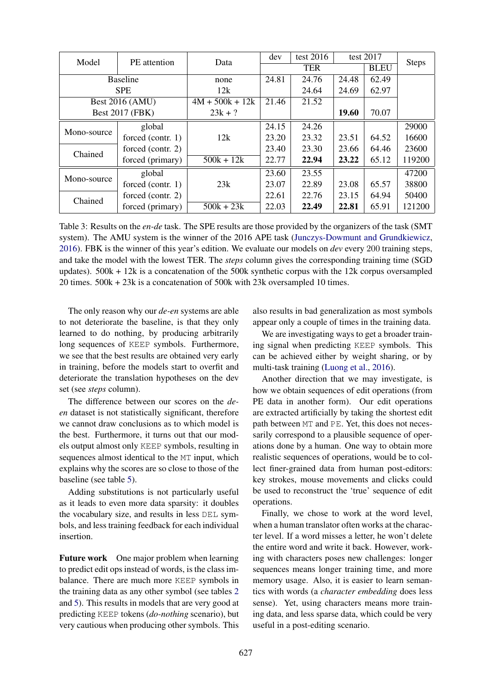| Model                  | PE attention         | Data              | dev   | test 2016  | test $2017$  |       |              |
|------------------------|----------------------|-------------------|-------|------------|--------------|-------|--------------|
|                        |                      |                   |       | <b>TER</b> |              |       | <b>Steps</b> |
| <b>Baseline</b>        |                      | none              | 24.81 | 24.76      | 24.48        | 62.49 |              |
| <b>SPE</b>             |                      | 12k               |       | 24.64      | 24.69        | 62.97 |              |
| <b>Best 2016 (AMU)</b> |                      | $4M + 500k + 12k$ | 21.46 | 21.52      |              |       |              |
| <b>Best 2017 (FBK)</b> |                      | $23k + ?$         |       |            | <b>19.60</b> | 70.07 |              |
| Mono-source            | global               |                   | 24.15 | 24.26      |              |       | 29000        |
|                        | forced (contr. $1$ ) | 12k               | 23.20 | 23.32      | 23.51        | 64.52 | 16600        |
| Chained                | forced (contr. $2$ ) |                   | 23.40 | 23.30      | 23.66        | 64.46 | 23600        |
|                        | forced (primary)     | $500k + 12k$      | 22.77 | 22.94      | 23.22        | 65.12 | 119200       |
| Mono-source            | global               |                   | 23.60 | 23.55      |              |       | 47200        |
|                        | forced (contr. $1$ ) | 23k               | 23.07 | 22.89      | 23.08        | 65.57 | 38800        |
| Chained                | forced (contr. $2$ ) |                   | 22.61 | 22.76      | 23.15        | 64.94 | 50400        |
|                        | forced (primary)     | $500k + 23k$      | 22.03 | 22.49      | 22.81        | 65.91 | 121200       |

Table 3: Results on the *en-de* task. The SPE results are those provided by the organizers of the task (SMT system). The AMU system is the winner of the 2016 APE task (Junczys-Dowmunt and Grundkiewicz, 2016). FBK is the winner of this year's edition. We evaluate our models on *dev* every 200 training steps, and take the model with the lowest TER. The *steps* column gives the corresponding training time (SGD updates). 500k + 12k is a concatenation of the 500k synthetic corpus with the 12k corpus oversampled 20 times. 500k + 23k is a concatenation of 500k with 23k oversampled 10 times.

The only reason why our *de-en* systems are able to not deteriorate the baseline, is that they only learned to do nothing, by producing arbitrarily long sequences of KEEP symbols. Furthermore, we see that the best results are obtained very early in training, before the models start to overfit and deteriorate the translation hypotheses on the dev set (see *steps* column).

The difference between our scores on the *deen* dataset is not statistically significant, therefore we cannot draw conclusions as to which model is the best. Furthermore, it turns out that our models output almost only KEEP symbols, resulting in sequences almost identical to the MT input, which explains why the scores are so close to those of the baseline (see table 5).

Adding substitutions is not particularly useful as it leads to even more data sparsity: it doubles the vocabulary size, and results in less DEL symbols, and less training feedback for each individual insertion.

Future work One major problem when learning to predict edit ops instead of words, is the class imbalance. There are much more KEEP symbols in the training data as any other symbol (see tables 2 and 5). This results in models that are very good at predicting KEEP tokens (*do-nothing* scenario), but very cautious when producing other symbols. This also results in bad generalization as most symbols appear only a couple of times in the training data.

We are investigating ways to get a broader training signal when predicting KEEP symbols. This can be achieved either by weight sharing, or by multi-task training (Luong et al., 2016).

Another direction that we may investigate, is how we obtain sequences of edit operations (from PE data in another form). Our edit operations are extracted artificially by taking the shortest edit path between MT and PE. Yet, this does not necessarily correspond to a plausible sequence of operations done by a human. One way to obtain more realistic sequences of operations, would be to collect finer-grained data from human post-editors: key strokes, mouse movements and clicks could be used to reconstruct the 'true' sequence of edit operations.

Finally, we chose to work at the word level, when a human translator often works at the character level. If a word misses a letter, he won't delete the entire word and write it back. However, working with characters poses new challenges: longer sequences means longer training time, and more memory usage. Also, it is easier to learn semantics with words (a *character embedding* does less sense). Yet, using characters means more training data, and less sparse data, which could be very useful in a post-editing scenario.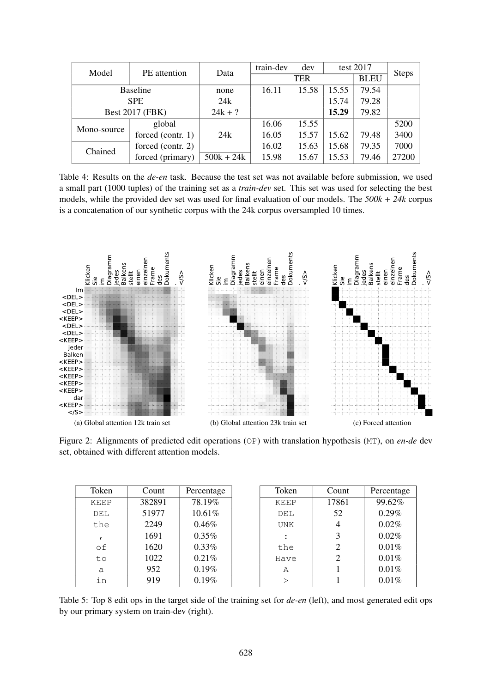| Model                  | PE attention      | Data         | train-dev | dev        |       | test 2017   | <b>Steps</b> |
|------------------------|-------------------|--------------|-----------|------------|-------|-------------|--------------|
|                        |                   |              |           | <b>TER</b> |       | <b>BLEU</b> |              |
| <b>Baseline</b>        |                   | none         | 16.11     | 15.58      | 15.55 | 79.54       |              |
| <b>SPE</b>             |                   | 24k          |           |            | 15.74 | 79.28       |              |
| <b>Best 2017 (FBK)</b> |                   | $24k + ?$    |           |            | 15.29 | 79.82       |              |
| Mono-source            | global            |              | 16.06     | 15.55      |       |             | 5200         |
|                        | forced (contr. 1) | 24k          | 16.05     | 15.57      | 15.62 | 79.48       | 3400         |
| Chained                | forced (contr. 2) |              | 16.02     | 15.63      | 15.68 | 79.35       | 7000         |
|                        | forced (primary)  | $500k + 24k$ | 15.98     | 15.67      | 15.53 | 79.46       | 27200        |

Table 4: Results on the *de-en* task. Because the test set was not available before submission, we used a small part (1000 tuples) of the training set as a *train-dev* set. This set was used for selecting the best models, while the provided dev set was used for final evaluation of our models. The *500k + 24k* corpus is a concatenation of our synthetic corpus with the 24k corpus oversampled 10 times.



Figure 2: Alignments of predicted edit operations (OP) with translation hypothesis (MT), on *en-de* dev set, obtained with different attention models.

| Token        | Count  | Percentage | Token         | Count | Percentage |
|--------------|--------|------------|---------------|-------|------------|
| <b>KEEP</b>  | 382891 | 78.19%     | <b>KEEP</b>   | 17861 | 99.62%     |
| DEL          | 51977  | 10.61%     | DEL           | 52    | 0.29%      |
| the          | 2249   | 0.46%      | <b>UNK</b>    | 4     | 0.02%      |
| $\mathbf{r}$ | 1691   | 0.35%      |               | 3     | 0.02%      |
| οf           | 1620   | 0.33%      | the           | 2     | 0.01%      |
| to           | 1022   | 0.21%      | Have          | 2     | 0.01%      |
| a            | 952    | 0.19%      | Α             |       | 0.01%      |
| in           | 919    | 0.19%      | $\mathcal{P}$ |       | 0.01%      |

Table 5: Top 8 edit ops in the target side of the training set for *de-en* (left), and most generated edit ops by our primary system on train-dev (right).